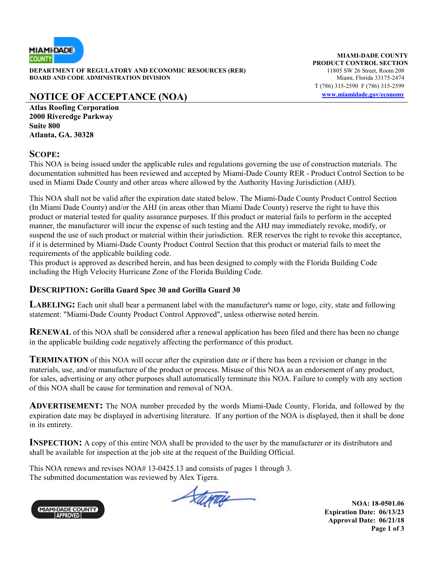

**DEPARTMENT OF REGULATORY AND ECONOMIC RESOURCES (RER)** 11805 SW 26 Street, Room 208<br>**BOARD AND CODE ADMINISTRATION DIVISION** 11805 SW 26 Miami, Florida 33175-2474 **BOARD AND CODE ADMINISTRATION DIVISION** 

# **NOTICE OF ACCEPTANCE (NOA) www.miamidade.gov/economy**

**MIAMI-DADE COUNTY PRODUCT CONTROL SECTION** T (786) 315-2590 F (786) 315-2599

**Atlas Roofing Corporation 2000 Riveredge Parkway Suite 800 Atlanta, GA. 30328** 

#### **SCOPE:**

This NOA is being issued under the applicable rules and regulations governing the use of construction materials. The documentation submitted has been reviewed and accepted by Miami-Dade County RER - Product Control Section to be used in Miami Dade County and other areas where allowed by the Authority Having Jurisdiction (AHJ).

This NOA shall not be valid after the expiration date stated below. The Miami-Dade County Product Control Section (In Miami Dade County) and/or the AHJ (in areas other than Miami Dade County) reserve the right to have this product or material tested for quality assurance purposes. If this product or material fails to perform in the accepted manner, the manufacturer will incur the expense of such testing and the AHJ may immediately revoke, modify, or suspend the use of such product or material within their jurisdiction. RER reserves the right to revoke this acceptance, if it is determined by Miami-Dade County Product Control Section that this product or material fails to meet the requirements of the applicable building code.

This product is approved as described herein, and has been designed to comply with the Florida Building Code including the High Velocity Hurricane Zone of the Florida Building Code.

#### **DESCRIPTION: Gorilla Guard Spec 30 and Gorilla Guard 30**

**LABELING:** Each unit shall bear a permanent label with the manufacturer's name or logo, city, state and following statement: "Miami-Dade County Product Control Approved", unless otherwise noted herein.

**RENEWAL** of this NOA shall be considered after a renewal application has been filed and there has been no change in the applicable building code negatively affecting the performance of this product.

**TERMINATION** of this NOA will occur after the expiration date or if there has been a revision or change in the materials, use, and/or manufacture of the product or process. Misuse of this NOA as an endorsement of any product, for sales, advertising or any other purposes shall automatically terminate this NOA. Failure to comply with any section of this NOA shall be cause for termination and removal of NOA.

**ADVERTISEMENT:** The NOA number preceded by the words Miami-Dade County, Florida, and followed by the expiration date may be displayed in advertising literature. If any portion of the NOA is displayed, then it shall be done in its entirety.

**INSPECTION:** A copy of this entire NOA shall be provided to the user by the manufacturer or its distributors and shall be available for inspection at the job site at the request of the Building Official.

This NOA renews and revises NOA# 13-0425.13 and consists of pages 1 through 3. The submitted documentation was reviewed by Alex Tigera.



Atina

**NOA: 18-0501.06 Expiration Date: 06/13/23 Approval Date: 06/21/18 Page 1 of 3**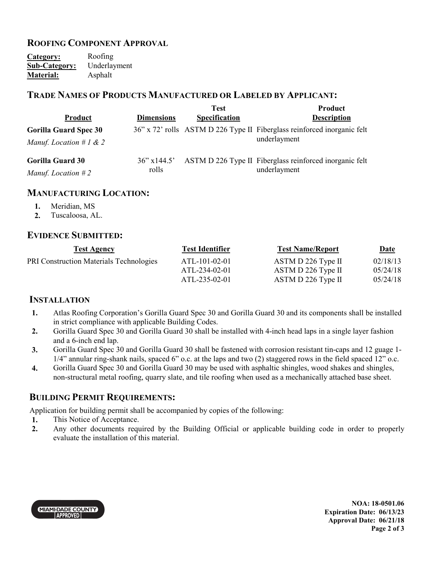### **ROOFING COMPONENT APPROVAL**

**Category:** Roofing<br> **Sub-Category:** Underlayment **Sub-Category: Material:** Asphalt

#### **TRADE NAMES OF PRODUCTS MANUFACTURED OR LABELED BY APPLICANT:**

|                                                            |                          | <b>Test</b>   | Product                                                                                 |
|------------------------------------------------------------|--------------------------|---------------|-----------------------------------------------------------------------------------------|
| <b>Product</b>                                             | <b>Dimensions</b>        | Specification | <b>Description</b>                                                                      |
| <b>Gorilla Guard Spec 30</b><br>Manuf. Location # $1 \& 2$ |                          |               | 36" x 72" rolls ASTM D 226 Type II Fiberglass reinforced inorganic felt<br>underlayment |
| <b>Gorilla Guard 30</b><br>Manuf. Location $#2$            | $36$ " x 144.5"<br>rolls |               | ASTM D 226 Type II Fiberglass reinforced inorganic felt<br>underlayment                 |

#### **MANUFACTURING LOCATION:**

- **1.** Meridian, MS
- **2.** Tuscaloosa, AL.

#### **EVIDENCE SUBMITTED:**

| <b>Test Agency</b>                             | <b>Test Identifier</b> | <b>Test Name/Report</b> | <u>Date</u> |
|------------------------------------------------|------------------------|-------------------------|-------------|
| <b>PRI Construction Materials Technologies</b> | ATL-101-02-01          | ASTM D 226 Type II      | 02/18/13    |
|                                                | ATL-234-02-01          | ASTM D 226 Type II      | 05/24/18    |
|                                                | ATL-235-02-01          | ASTM D 226 Type II      | 05/24/18    |

#### **INSTALLATION**

- **1.** Atlas Roofing Corporation's Gorilla Guard Spec 30 and Gorilla Guard 30 and its components shall be installed in strict compliance with applicable Building Codes.
- **2.** Gorilla Guard Spec 30 and Gorilla Guard 30 shall be installed with 4-inch head laps in a single layer fashion and a 6-inch end lap.
- **3.** Gorilla Guard Spec 30 and Gorilla Guard 30 shall be fastened with corrosion resistant tin-caps and 12 guage 1- 1/4" annular ring-shank nails, spaced 6" o.c. at the laps and two (2) staggered rows in the field spaced 12" o.c.
- **4.** Gorilla Guard Spec 30 and Gorilla Guard 30 may be used with asphaltic shingles, wood shakes and shingles, non-structural metal roofing, quarry slate, and tile roofing when used as a mechanically attached base sheet.

#### **BUILDING PERMIT REQUIREMENTS:**

Application for building permit shall be accompanied by copies of the following:

- **1.** This Notice of Acceptance.
- **2.** Any other documents required by the Building Official or applicable building code in order to properly evaluate the installation of this material.



**NOA: 18-0501.06 Expiration Date: 06/13/23 Approval Date: 06/21/18 Page 2 of 3**